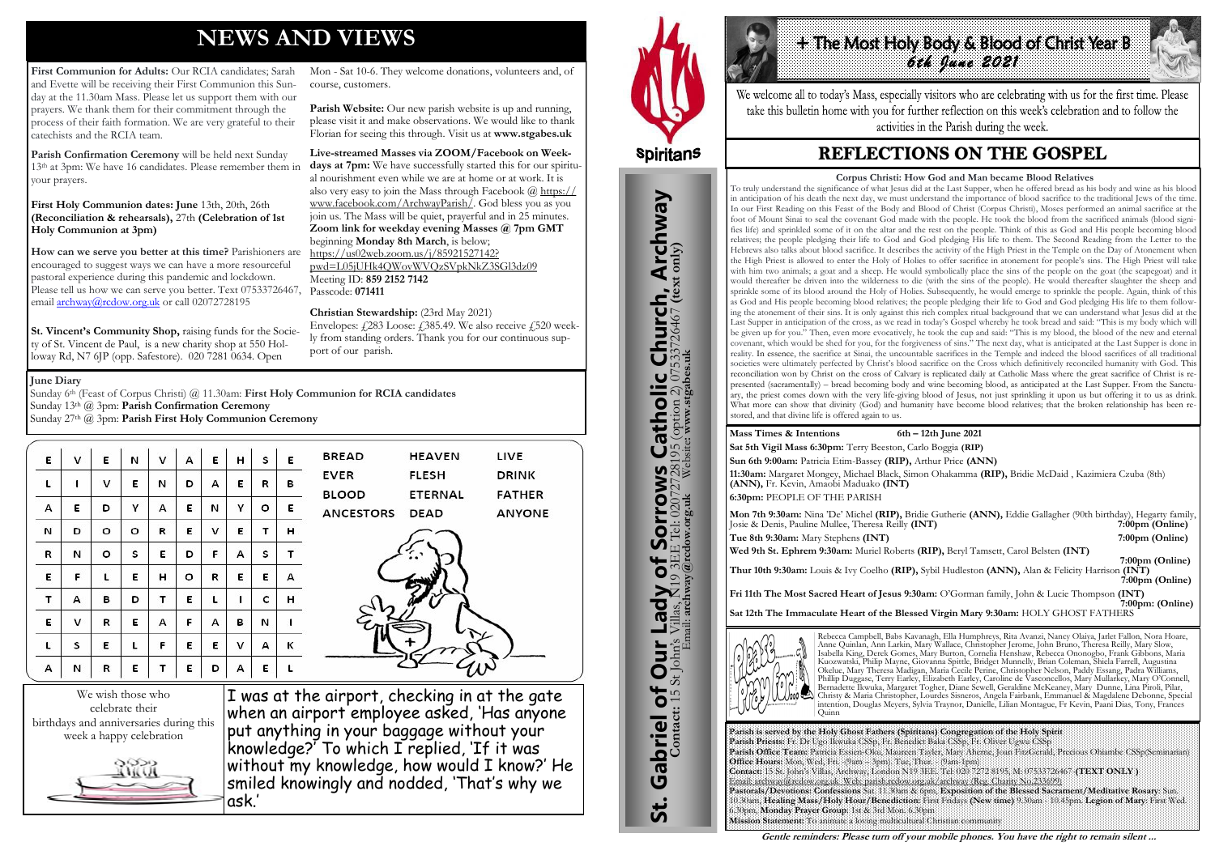# **NEWS AND VIEWS**

First Communion for Adults: Our RCIA candidates: Sarah and Evette will be receiving their First Communion this Sunday at the 11.30am Mass. Please let us support them with our prayers. We thank them for their commitment through the process of their faith formation. We are very grateful to their catechists and the RCIA team.

**How can we serve you better at this time?** Parishioners are encouraged to suggest ways we can have a more resourceful pastoral experience during this pandemic and lockdown. Please tell us how we can serve you better. Text 07533726467, Passcode: **071411**  email [archway@rcdow.org.uk](mailto:archway@rcdow.org.uk) or call 02072728195

**Parish Confirmation Ceremony** will be held next Sunday 13th at 3pm: We have 16 candidates. Please remember them in your prayers.

# **First Holy Communion dates: June** 13th, 20th, 26th **(Reconciliation & rehearsals),** 27th **(Celebration of 1st Holy Communion at 3pm)**

Parish Website: Our new parish website is up and running, please visit it and make observations. We would like to thank Florian for seeing this through. Visit us at **www.stgabes.uk** 

**St. Vincent's Community Shop,** raising funds for the Society of St. Vincent de Paul, is a new charity shop at 550 Holloway Rd, N7 6JP (opp. Safestore). 020 7281 0634. Open

Envelopes:  $\angle 283$  Loose:  $\angle 385.49$ . We also receive  $\angle 520$  weekly from standing orders. Thank you for our continuous support of our parish.

**HEAVEN** 

**ETERNAL** 

**FLESH** 

**DEAD** 

LIVE

**DRINK** 

**FATHER** 

**ANYONE** 

Mon - Sat 10-6. They welcome donations, volunteers and, of course, customers.

**Hathe Most Holy Body & Blood of Christ Year B** *6th June 2021* 

We welcome all to today's Mass, especially visitors who are celebrating with us for the first time. Please take this bulletin home with you for further reflection on this week's celebration and to follow the activities in the Parish during the week.

# **REFLECTIONS ON THE GOSPEL**

**Live-streamed Masses via ZOOM/Facebook on Weekdays at 7pm:** We have successfully started this for our spiritual nourishment even while we are at home or at work. It is also very easy to join the Mass through Facebook  $\left(\frac{\partial h}{\partial x}\right)$ [www.facebook.com/ArchwayParish/.](https://www.facebook.com/ArchwayParish/) God bless you as you join us. The Mass will be quiet, prayerful and in 25 minutes. **Zoom link for weekday evening Masses @ 7pm GMT**  beginning **Monday 8th March**, is below; [https://us02web.zoom.us/j/85921527142?](https://us02web.zoom.us/j/85921527142?pwd=L05jUHk4QWovWVQzSVpkNkZ3SGl3dz09) [pwd=L05jUHk4QWovWVQzSVpkNkZ3SGl3dz09](https://us02web.zoom.us/j/85921527142?pwd=L05jUHk4QWovWVQzSVpkNkZ3SGl3dz09) Meeting ID: **859 2152 7142** 

**Christian Stewardship:** (23rd May 2021)

**BREAD** 

**BLOOD** 

**ANCESTORS** 

**EVER** 

**Mon 7th 9:30am:** Nina 'De' Michel **(RIP),** Bridie Gutherie **(ANN),** Eddie Gallagher (90th birthday), Hegarty family, Josie & Denis, Pauline Mullee, Theresa Reilly (INT) **Tue 8th 9:30am:** Mary Stephens **(INT) 7:00pm (Online) 7:00pm (Online)** 

We wish those who celebrate their birthdays and anniversaries during this week a happy celebration



I was at the airport, checking in at the gate when an airport employee asked, 'Has anyone put anything in your baggage without your knowledge?' To which I replied, 'If it was without my knowledge, how would I know?' He smiled knowingly and nodded, 'That's why we ask.'



St. Gabriel of Our Lady of Sorrows Catholic Church, Archway

Sorrows

 $\overline{\mathbf{b}}$ 

Lady

Our<sup>1</sup>

Gabriel of Our

<u>ჭ</u>

**IS Catholic Church, Archway**<br>28195 (option 2) 07533726467 (text only)

 **7:00pm (Online) 1.12 (1) 1.12 (1) 1.12 (1) 1.12 (1) 1.12 (1) 1.12 (1) 1.12 (1) 1.12 (1) 1.12 (1) 1.12 (1) 1.12 (1) 1.12 (1) 1.12 (1) 1.12 (1) 1.12 (1) 1.12 (1) 1.12 (1) 1.12 (1) 1.12 Thur 10th 9:30am:** Louis & Ivy Coelho **(RIP),** Sybil Hudleston **(ANN),** Alan & Felicity Harrison **(INT)** *7:00pm* **(Online) Fri 11th The Most Sacred Heart of Jesus 9:30am:** O'Gorman family, John & Lucie Thompson **(INT) 7:00pm: (Online)**

# **June Diary**

Sunday 6th (Feast of Corpus Christi) @ 11.30am: **First Holy Communion for RCIA candidates** Sunday 13th @ 3pm: **Parish Confirmation Ceremony** Sunday 27th @ 3pm: **Parish First Holy Communion Ceremony** 

| E | v | E | N | v | А | E | н | s | E |
|---|---|---|---|---|---|---|---|---|---|
| L | ı | ٧ | E | И | D | А | Ε | R | В |
| А | E | D | Υ | А | E | И | γ | о | E |
| И | D | о | о | R | E | ٧ | E | т | н |
| R | N | o | S | E | D | F | А | s | т |
| E | F | L | E | н | о | R | E | E | А |
| Τ | А | В | D | т | E | г | ı | c | н |
| E | ٧ | R | E | А | F | А | В | И | ı |
| L | s | E | L | F | Ε | E | v | А | Κ |
| А | N | R | E | Τ | E | D | А | E | L |

**Parish is served by the Holy Ghost Fathers (Spiritans) Congregation of the Holy Spirit Parish Priests:** Fr. Dr Ugo Ikwuka CSSp, Fr. Benedict Baka CSSp, Fr. Oliver Ugwu CSSp **Parish Office Team:** Patricia Essien-Oku, Maureen Tayler, Mary Aherne, Joan FitzGerald, Precious Ohiambe CSSp(Seminarian) **Office Hours:** Mon, Wed, Fri. -(9am – 3pm). Tue, Thur. - (9am-1pm) **Contact:** 15 St. John's Villas, Archway, London N19 3EE. Tel: 020 7272 8195, M: 07533726467-**(TEXT ONLY )** Email: archway@rcdow.org.uk Web: parish.rcdow.org.uk/archway (Reg. Charity No.233699) **Pastorals/Devotions: Confessions** Sat. 11.30am & 6pm, **Exposition of the Blessed Sacrament/Meditative Rosary**: Sun. 10.30am, **Healing Mass/Holy Hour/Benediction:** First Fridays **(New time)** 9.30am - 10.45pm. **Legion of Mary**: First Wed. 6.30pm, **Monday Prayer Group**: 1st & 3rd Mon. 6.30pm **Mission Statement:** To animate a loving multicultural Christian community

**Contact:** 15 St John's Villas, N19 3EE Tel: 02072728195 (option 2) 07533726467 **(text only)** Email: **archway@rcdow.org.uk** Website**: www.stgabes.uk**

i's Villas, N19 3EE Tel: 0207<br>Email: **archway@redow.org.uk** 

 $\mathbb{Z}$ 

**Mass Times & Intentions 6th – 12th June 2021 Sat 5th Vigil Mass 6:30pm:** Terry Beeston, Carlo Boggia **(RIP) Sun 6th 9:00am:** Patricia Etim-Bassey **(RIP),** Arthur Price **(ANN) 11:30am:** Margaret Mongey, Michael Black, Simon Ohakamma **(RIP),** Bridie McDaid , Kazimiera Czuba (8th) **(ANN),** Fr. Kevin, Amaobi Maduako **(INT) 6:30pm:** PEOPLE OF THE PARISH

**Wed 9th St. Ephrem 9:30am:** Muriel Roberts **(RIP),** Beryl Tamsett, Carol Belsten **(INT)**

**Sat 12th The Immaculate Heart of the Blessed Virgin Mary 9:30am:** HOLY GHOST FATHERS



Rebecca Campbell, Babs Kavanagh, Ella Humphreys, Rita Avanzi, Nancy Olaiya, Jarlet Fallon, Nora Hoare, Anne Quinlan, Ann Larkin, Mary Wallace, Christopher Jerome, John Bruno, Theresa Reilly, Mary Slow, Isabella King, Derek Gomes, Mary Burton, Cornelia Henshaw, Rebecca Ononogbo, Frank Gibbons, Maria Kuozwatski, Philip Mayne, Giovanna Spittle, Bridget Munnelly, Brian Coleman, Shiela Farrell, Augustina Okelue, Mary Theresa Madigan, Maria Cecile Perine, Christopher Nelson, Paddy Essang, Padra Williams, Phillip Duggase, Terry Earley, Elizabeth Earley, Caroline de Vasconcellos, Mary Mullarkey, Mary O'Connell, Bernadette Ikwuka, Margaret Togher, Diane Sewell, Geraldine McKeaney, Mary Dunne, Lina Piroli, Pilar, Christy & Maria Christopher, Lourdes Sisneros, Angela Fairbank, Emmanuel & Magdalene Debonne, Special intention, Douglas Meyers, Sylvia Traynor, Danielle, Lilian Montague, Fr Kevin, Paani Dias, Tony, Frances Quinn

**Gentle reminders: Please turn off your mobile phones. You have the right to remain silent ...** 

### **Corpus Christi: How God and Man became Blood Relatives**

To truly understand the significance of what Jesus did at the Last Supper, when he offered bread as his body and wine as his blood in anticipation of his death the next day, we must understand the importance of blood sacrifice to the traditional Jews of the time. In our First Reading on this Feast of the Body and Blood of Christ (Corpus Christi), Moses performed an animal sacrifice at the foot of Mount Sinai to seal the covenant God made with the people. He took the blood from the sacrificed animals (blood signifies life) and sprinkled some of it on the altar and the rest on the people. Think of this as God and His people becoming blood relatives; the people pledging their life to God and God pledging His life to them. The Second Reading from the Letter to the Hebrews also talks about blood sacrifice. It describes the activity of the High Priest in the Temple on the Day of Atonement when the High Priest is allowed to enter the Holy of Holies to offer sacrifice in atonement for people's sins. The High Priest will take with him two animals; a goat and a sheep. He would symbolically place the sins of the people on the goat (the scapegoat) and it would thereafter be driven into the wilderness to die (with the sins of the people). He would thereafter slaughter the sheep and sprinkle some of its blood around the Holy of Holies. Subsequently, he would emerge to sprinkle the people. Again, think of this as God and His people becoming blood relatives; the people pledging their life to God and God pledging His life to them following the atonement of their sins. It is only against this rich complex ritual background that we can understand what Jesus did at the Last Supper in anticipation of the cross, as we read in today's Gospel whereby he took bread and said: "This is my body which will be given up for you." Then, even more evocatively, he took the cup and said: "This is my blood, the blood of the new and eternal covenant, which would be shed for you, for the forgiveness of sins." The next day, what is anticipated at the Last Supper is done in reality. In essence, the sacrifice at Sinai, the uncountable sacrifices in the Temple and indeed the blood sacrifices of all traditional societies were ultimately perfected by Christ's blood sacrifice on the Cross which definitively reconciled humanity with God. This reconciliation won by Christ on the cross of Calvary is replicated daily at Catholic Mass where the great sacrifice of Christ is represented (sacramentally) – bread becoming body and wine becoming blood, as anticipated at the Last Supper. From the Sanctuary, the priest comes down with the very life-giving blood of Jesus, not just sprinkling it upon us but offering it to us as drink. What more can show that divinity (God) and humanity have become blood relatives; that the broken relationship has been restored, and that divine life is offered again to us.